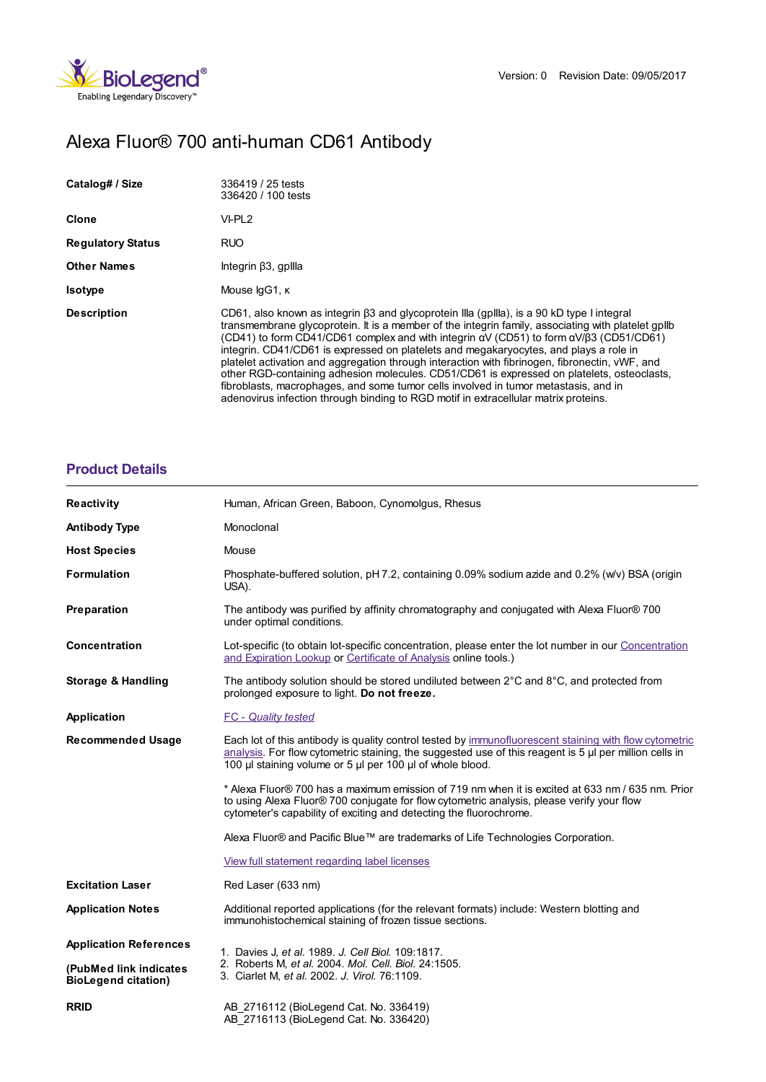

# Alexa Fluor® 700 anti-human CD61 Antibody

| Catalog# / Size          | 336419 / 25 tests<br>336420 / 100 tests                                                                                                                                                                                                                                                                                                                                                                                                                                                                                                                                                                                                                                                                                                                                                |
|--------------------------|----------------------------------------------------------------------------------------------------------------------------------------------------------------------------------------------------------------------------------------------------------------------------------------------------------------------------------------------------------------------------------------------------------------------------------------------------------------------------------------------------------------------------------------------------------------------------------------------------------------------------------------------------------------------------------------------------------------------------------------------------------------------------------------|
| <b>Clone</b>             | VI-PL <sub>2</sub>                                                                                                                                                                                                                                                                                                                                                                                                                                                                                                                                                                                                                                                                                                                                                                     |
| <b>Regulatory Status</b> | <b>RUO</b>                                                                                                                                                                                                                                                                                                                                                                                                                                                                                                                                                                                                                                                                                                                                                                             |
| <b>Other Names</b>       | Integrin $\beta$ 3, gpllla                                                                                                                                                                                                                                                                                                                                                                                                                                                                                                                                                                                                                                                                                                                                                             |
| <b>Isotype</b>           | Mouse IgG1, K                                                                                                                                                                                                                                                                                                                                                                                                                                                                                                                                                                                                                                                                                                                                                                          |
| <b>Description</b>       | CD61, also known as integrin 63 and glycoprotein Illa (gpilla), is a 90 kD type I integral<br>transmembrane glycoprotein. It is a member of the integrin family, associating with platelet gpllb<br>(CD41) to form CD41/CD61 complex and with integrin $\alpha V$ (CD51) to form $\alpha V/\beta$ 3 (CD51/CD61)<br>integrin. CD41/CD61 is expressed on platelets and megakaryocytes, and plays a role in<br>platelet activation and aggregation through interaction with fibrinogen, fibronectin, vWF, and<br>other RGD-containing adhesion molecules. CD51/CD61 is expressed on platelets, osteoclasts,<br>fibroblasts, macrophages, and some tumor cells involved in tumor metastasis, and in<br>adenovirus infection through binding to RGD motif in extracellular matrix proteins. |

## **[Product](https://production-dynamicweb.biolegend.com/en-gb/products/alexa-fluor-700-anti-human-cd61-antibody-14889?pdf=true&displayInline=true&leftRightMargin=15&topBottomMargin=15&filename=Alexa Fluor%EF%BF%BD%EF%BF%BD 700 anti-human CD61 Antibody.pdf#productDetails) Details**

| <b>Reactivity</b>                                    | Human, African Green, Baboon, Cynomolgus, Rhesus                                                                                                                                                                                                                                 |
|------------------------------------------------------|----------------------------------------------------------------------------------------------------------------------------------------------------------------------------------------------------------------------------------------------------------------------------------|
| <b>Antibody Type</b>                                 | Monoclonal                                                                                                                                                                                                                                                                       |
| <b>Host Species</b>                                  | Mouse                                                                                                                                                                                                                                                                            |
| <b>Formulation</b>                                   | Phosphate-buffered solution, pH 7.2, containing 0.09% sodium azide and 0.2% (w/v) BSA (origin<br>USA).                                                                                                                                                                           |
| Preparation                                          | The antibody was purified by affinity chromatography and conjugated with Alexa Fluor® 700<br>under optimal conditions.                                                                                                                                                           |
| Concentration                                        | Lot-specific (to obtain lot-specific concentration, please enter the lot number in our Concentration<br>and Expiration Lookup or Certificate of Analysis online tools.)                                                                                                          |
| <b>Storage &amp; Handling</b>                        | The antibody solution should be stored undiluted between $2^{\circ}$ C and $8^{\circ}$ C, and protected from<br>prolonged exposure to light. Do not freeze.                                                                                                                      |
| Application                                          | <b>FC</b> - Quality tested                                                                                                                                                                                                                                                       |
| <b>Recommended Usage</b>                             | Each lot of this antibody is quality control tested by immunofluorescent staining with flow cytometric<br>analysis. For flow cytometric staining, the suggested use of this reagent is $5 \mu$ per million cells in<br>100 µl staining volume or 5 µl per 100 µl of whole blood. |
|                                                      | * Alexa Fluor® 700 has a maximum emission of 719 nm when it is excited at 633 nm / 635 nm. Prior<br>to using Alexa Fluor® 700 conjugate for flow cytometric analysis, please verify your flow<br>cytometer's capability of exciting and detecting the fluorochrome.              |
|                                                      | Alexa Fluor® and Pacific Blue™ are trademarks of Life Technologies Corporation.                                                                                                                                                                                                  |
|                                                      | View full statement regarding label licenses                                                                                                                                                                                                                                     |
| <b>Excitation Laser</b>                              | Red Laser (633 nm)                                                                                                                                                                                                                                                               |
| <b>Application Notes</b>                             | Additional reported applications (for the relevant formats) include: Western blotting and<br>immunohistochemical staining of frozen tissue sections.                                                                                                                             |
| <b>Application References</b>                        | 1. Davies J, et al. 1989. J. Cell Biol. 109:1817.<br>2. Roberts M, et al. 2004. Mol. Cell. Biol. 24:1505.<br>3. Ciarlet M, et al. 2002. J. Virol. 76:1109.                                                                                                                       |
| (PubMed link indicates<br><b>BioLegend citation)</b> |                                                                                                                                                                                                                                                                                  |
| <b>RRID</b>                                          | AB 2716112 (BioLegend Cat. No. 336419)<br>AB 2716113 (BioLegend Cat. No. 336420)                                                                                                                                                                                                 |